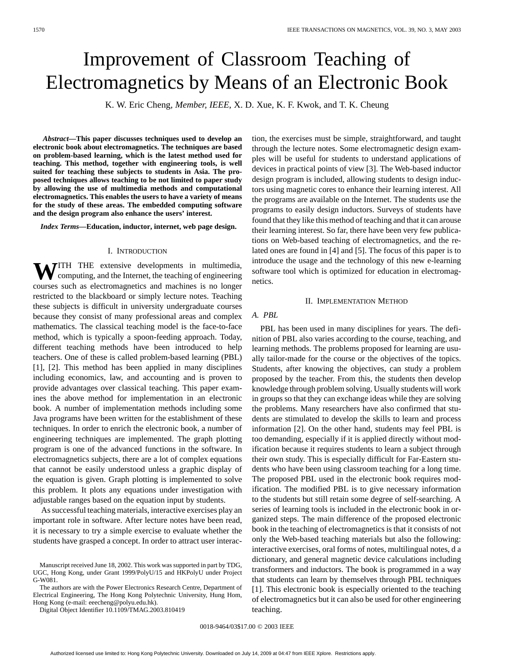# Improvement of Classroom Teaching of Electromagnetics by Means of an Electronic Book

K. W. Eric Cheng*, Member, IEEE*, X. D. Xue, K. F. Kwok, and T. K. Cheung

*Abstract—***This paper discusses techniques used to develop an electronic book about electromagnetics. The techniques are based on problem-based learning, which is the latest method used for teaching. This method, together with engineering tools, is well suited for teaching these subjects to students in Asia. The proposed techniques allows teaching to be not limited to paper study by allowing the use of multimedia methods and computational electromagnetics. This enables the users to have a variety of means for the study of these areas. The embedded computing software and the design program also enhance the users' interest.**

*Index Terms—***Education, inductor, internet, web page design.**

## I. INTRODUCTION

WITH THE extensive developments in multimedia, computing, and the Internet, the teaching of engineering courses such as electromagnetics and machines is no longer restricted to the blackboard or simply lecture notes. Teaching these subjects is difficult in university undergraduate courses because they consist of many professional areas and complex mathematics. The classical teaching model is the face-to-face method, which is typically a spoon-feeding approach. Today, different teaching methods have been introduced to help teachers. One of these is called problem-based learning (PBL) [1], [2]. This method has been applied in many disciplines including economics, law, and accounting and is proven to provide advantages over classical teaching. This paper examines the above method for implementation in an electronic book. A number of implementation methods including some Java programs have been written for the establishment of these techniques. In order to enrich the electronic book, a number of engineering techniques are implemented. The graph plotting program is one of the advanced functions in the software. In electromagnetics subjects, there are a lot of complex equations that cannot be easily understood unless a graphic display of the equation is given. Graph plotting is implemented to solve this problem. It plots any equations under investigation with adjustable ranges based on the equation input by students.

As successful teaching materials, interactive exercises play an important role in software. After lecture notes have been read, it is necessary to try a simple exercise to evaluate whether the students have grasped a concept. In order to attract user interac-

The authors are with the Power Electronics Research Centre, Department of Electrical Engineering, The Hong Kong Polytechnic University, Hung Hom, Hong Kong (e-mail: eeecheng@polyu.edu.hk).

Digital Object Identifier 10.1109/TMAG.2003.810419

tion, the exercises must be simple, straightforward, and taught through the lecture notes. Some electromagnetic design examples will be useful for students to understand applications of devices in practical points of view [3]. The Web-based inductor design program is included, allowing students to design inductors using magnetic cores to enhance their learning interest. All the programs are available on the Internet. The students use the programs to easily design inductors. Surveys of students have found that they like this method of teaching and that it can arouse their learning interest. So far, there have been very few publications on Web-based teaching of electromagnetics, and the related ones are found in [4] and [5]. The focus of this paper is to introduce the usage and the technology of this new e-learning software tool which is optimized for education in electromagnetics.

# II. IMPLEMENTATION METHOD

# *A. PBL*

PBL has been used in many disciplines for years. The definition of PBL also varies according to the course, teaching, and learning methods. The problems proposed for learning are usually tailor-made for the course or the objectives of the topics. Students, after knowing the objectives, can study a problem proposed by the teacher. From this, the students then develop knowledge through problem solving. Usually students will work in groups so that they can exchange ideas while they are solving the problems. Many researchers have also confirmed that students are stimulated to develop the skills to learn and process information [2]. On the other hand, students may feel PBL is too demanding, especially if it is applied directly without modification because it requires students to learn a subject through their own study. This is especially difficult for Far-Eastern students who have been using classroom teaching for a long time. The proposed PBL used in the electronic book requires modification. The modified PBL is to give necessary information to the students but still retain some degree of self-searching. A series of learning tools is included in the electronic book in organized steps. The main difference of the proposed electronic book in the teaching of electromagnetics is that it consists of not only the Web-based teaching materials but also the following: interactive exercises, oral forms of notes, multilingual notes, d a dictionary, and general magnetic device calculations including transformers and inductors. The book is programmed in a way that students can learn by themselves through PBL techniques [1]. This electronic book is especially oriented to the teaching of electromagnetics but it can also be used for other engineering teaching.

0018-9464/03\$17.00 © 2003 IEEE

Manuscript received June 18, 2002. This work was supported in part by TDG, UGC, Hong Kong, under Grant 1999/PolyU/15 and HKPolyU under Project G-W081.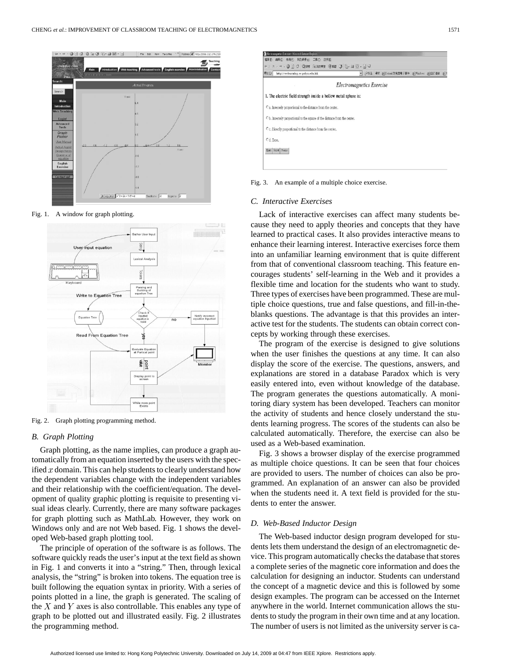

Fig. 1. A window for graph plotting.



Fig. 2. Graph plotting programming method.

#### *B. Graph Plotting*

Graph plotting, as the name implies, can produce a graph automatically from an equation inserted by the users with the specified  $x$  domain. This can help students to clearly understand how the dependent variables change with the independent variables and their relationship with the coefficient/equation. The development of quality graphic plotting is requisite to presenting visual ideas clearly. Currently, there are many software packages for graph plotting such as MathLab. However, they work on Windows only and are not Web based. Fig. 1 shows the developed Web-based graph plotting tool.

The principle of operation of the software is as follows. The software quickly reads the user's input at the text field as shown in Fig. 1 and converts it into a "string." Then, through lexical analysis, the "string" is broken into tokens. The equation tree is built following the equation syntax in priority. With a series of points plotted in a line, the graph is generated. The scaling of the  $X$  and  $Y$  axes is also controllable. This enables any type of graph to be plotted out and illustrated easily. Fig. 2 illustrates the programming method.



Fig. 3. An example of a multiple choice exercise.

## *C. Interactive Exercises*

Lack of interactive exercises can affect many students because they need to apply theories and concepts that they have learned to practical cases. It also provides interactive means to enhance their learning interest. Interactive exercises force them into an unfamiliar learning environment that is quite different from that of conventional classroom teaching. This feature encourages students' self-learning in the Web and it provides a flexible time and location for the students who want to study. Three types of exercises have been programmed. These are multiple choice questions, true and false questions, and fill-in-theblanks questions. The advantage is that this provides an interactive test for the students. The students can obtain correct concepts by working through these exercises.

The program of the exercise is designed to give solutions when the user finishes the questions at any time. It can also display the score of the exercise. The questions, answers, and explanations are stored in a database Paradox which is very easily entered into, even without knowledge of the database. The program generates the questions automatically. A monitoring diary system has been developed. Teachers can monitor the activity of students and hence closely understand the students learning progress. The scores of the students can also be calculated automatically. Therefore, the exercise can also be used as a Web-based examination.

Fig. 3 shows a browser display of the exercise programmed as multiple choice questions. It can be seen that four choices are provided to users. The number of choices can also be programmed. An explanation of an answer can also be provided when the students need it. A text field is provided for the students to enter the answer.

#### *D. Web-Based Inductor Design*

The Web-based inductor design program developed for students lets them understand the design of an electromagnetic device. This program automatically checks the database that stores a complete series of the magnetic core information and does the calculation for designing an inductor. Students can understand the concept of a magnetic device and this is followed by some design examples. The program can be accessed on the Internet anywhere in the world. Internet communication allows the students to study the program in their own time and at any location. The number of users is not limited as the university server is ca-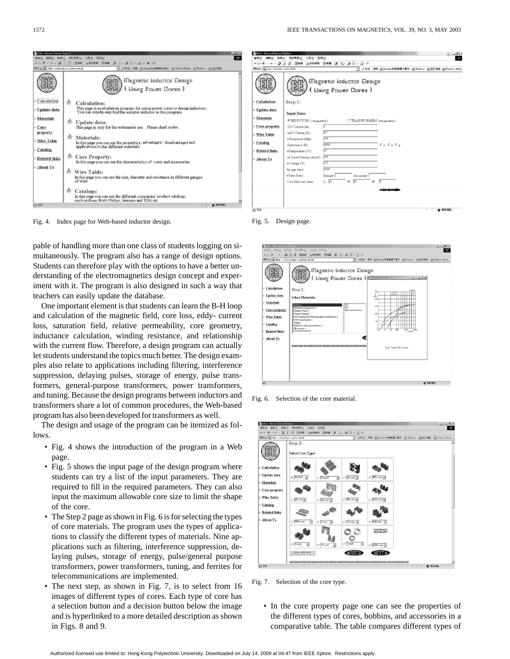

Fig. 4. Index page for Web-based inductor design.

pable of handling more than one class of students logging on simultaneously. The program also has a range of design options. Students can therefore play with the options to have a better understanding of the electromagnetics design concept and experiment with it. The program is also designed in such a way that teachers can easily update the database.

One important element is that students can learn the B-H loop and calculation of the magnetic field, core loss, eddy- current loss, saturation field, relative permeability, core geometry, inductance calculation, winding resistance, and relationship with the current flow. Therefore, a design program can actually let students understand the topics much better. The design examples also relate to applications including filtering, interference suppression, delaying pulses, storage of energy, pulse transformers, general-purpose transformers, power transformers, and tuning. Because the design programs between inductors and transformers share a lot of common procedures, the Web-based program has also been developed for transformers as well.

The design and usage of the program can be itemized as follows.

- Fig. 4 shows the introduction of the program in a Web page.
- Fig. 5 shows the input page of the design program where students can try a list of the input parameters. They are required to fill in the required parameters. They can also input the maximum allowable core size to limit the shape of the core.
- The Step 2 page as shown in Fig. 6 is for selecting the types of core materials. The program uses the types of applications to classify the different types of materials. Nine applications such as filtering, interference suppression, delaying pulses, storage of energy, pulse/general purpose transformers, power transformers, tuning, and ferrites for telecommunications are implemented.
- The next step, as shown in Fig. 7, is to select from 16 images of different types of cores. Each type of core has a selection button and a decision button below the image and is hyperlinked to a more detailed description as shown in Figs. 8 and 9.

 $\overline{a}$   $\overline{a}$   $\overline{a}$ **Magnetic Inductor Design** 凋 ( Using Power Cores ) Calculation Step 2 Update data **Select Materials** Materials Core propert Wire Table Catalog **Related** link About U

Fig. 6. Selection of the core material.

| Jakes - Microsoft Internet Explorer                                                                                                                   | 榴雾(E) 編輯(E) 検視(F) 教的最爱(A) 工具(D) 説明(E)        |                                               |                                              |                                    |                                                        | $Q -  B$ $X$<br>股 |
|-------------------------------------------------------------------------------------------------------------------------------------------------------|----------------------------------------------|-----------------------------------------------|----------------------------------------------|------------------------------------|--------------------------------------------------------|-------------------|
|                                                                                                                                                       | +1-1 - - - 0 2 4 QNO HEMAX ONE 0 2-4 D - 3 0 |                                               |                                              |                                    |                                                        |                   |
| 附址(D) @ http://eclearning1.co.polyn.cdu.hk                                                                                                            |                                              |                                               |                                              |                                    | • 令移至 連結 @Botoml的発費電子郵件 @Windows @Bill運結 @WindowsMedia |                   |
|                                                                                                                                                       | Step 3:<br><b>Select Core Type:</b>          |                                               |                                              |                                    |                                                        |                   |
| Calculation<br><b>b</b> Update data<br><b>A</b> Materials<br><b>Core property</b><br><b>Wire Table</b><br>catalog<br><b>Related links</b><br>About Us | $C$ $E20105$ $-$                             | $\bigcap$ Flank E<br>$\overline{\phantom{a}}$ | $\circ$ BC-core                              | $C$ EFD-core $-$                   |                                                        |                   |
|                                                                                                                                                       | $C$ $EP$ -core $\bullet$                     | $\bigcap$ BQ-core $\blacksquare$              | $C$ $B$ $C$ $C$ $C$ $D$                      | $C$ ETD-cose $\blacktriangleright$ |                                                        |                   |
|                                                                                                                                                       | $C$ FRM-core<br>$\overline{\phantom{a}}$     | $C$ P-core $\rightarrow$                      | $\bigcap$ FQ-cose $\blacktriangleright$      | $C$ RM-core $-$                    |                                                        |                   |
|                                                                                                                                                       | $\bigcap$ U-core<br>$\overline{\phantom{a}}$ | $C$ URcae<br>$\overline{\phantom{a}}$         | $\bigcap$ Toroid<br>$\overline{\phantom{a}}$ | NEW<br>C NEW core -                |                                                        |                   |
|                                                                                                                                                       | Click to view detail                         |                                               |                                              | 8888888888888888888888888888       |                                                        |                   |

Fig. 7. Selection of the core type.

• In the core property page one can see the properties of the different types of cores, bobbins, and accessories in a comparative table. The table compares different types of